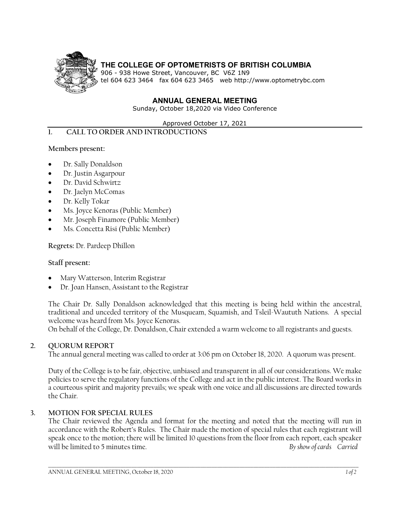

# **THE COLLEGE OF OPTOMETRISTS OF BRITISH COLUMBIA**

906 - 938 Howe Street, Vancouver, BC V6Z 1N9 tel 604 623 3464 fax 604 623 3465 web http://www.optometrybc.com

#### **ANNUAL GENERAL MEETING**

Sunday, October 18,2020 via Video Conference

Approved October 17, 2021

#### **1. CALL TO ORDER AND INTRODUCTIONS**

#### **Members present:**

- Dr. Sally Donaldson
- Dr. Justin Asgarpour
- Dr. David Schwirtz
- Dr. Jaelyn McComas
- Dr. Kelly Tokar
- Ms. Joyce Kenoras (Public Member)
- Mr. Joseph Finamore (Public Member)
- Ms. Concetta Risi (Public Member)

# **Regrets:** Dr. Pardeep Dhillon

#### **Staff present:**

- Mary Watterson, Interim Registrar
- Dr. Joan Hansen, Assistant to the Registrar

The Chair Dr. Sally Donaldson acknowledged that this meeting is being held within the ancestral, traditional and unceded territory of the Musqueam, Squamish, and Tsleil-Waututh Nations. A special welcome was heard from Ms. Joyce Kenoras.

On behalf of the College, Dr. Donaldson, Chair extended a warm welcome to all registrants and guests.

# **2. QUORUM REPORT**

The annual general meeting was called to order at 3:06 pm on October 18, 2020. A quorum was present.

Duty of the College is to be fair, objective, unbiased and transparent in all of our considerations. We make policies to serve the regulatory functions of the College and act in the public interest. The Board works in a courteous spirit and majority prevails; we speak with one voice and all discussions are directed towards the Chair.

# **3. MOTION FOR SPECIAL RULES**

The Chair reviewed the Agenda and format for the meeting and noted that the meeting will run in accordance with the Robert's Rules. The Chair made the motion of special rules that each registrant will speak once to the motion; there will be limited 10 questions from the floor from each report, each speaker will be limited to 5 minutes time. *By show of cards Carried*

\_\_\_\_\_\_\_\_\_\_\_\_\_\_\_\_\_\_\_\_\_\_\_\_\_\_\_\_\_\_\_\_\_\_\_\_\_\_\_\_\_\_\_\_\_\_\_\_\_\_\_\_\_\_\_\_\_\_\_\_\_\_\_\_\_\_\_\_\_\_\_\_\_\_\_\_\_\_\_\_\_\_\_\_\_\_\_\_\_\_\_\_\_\_\_\_\_\_\_\_\_\_\_\_\_\_\_\_\_\_\_\_